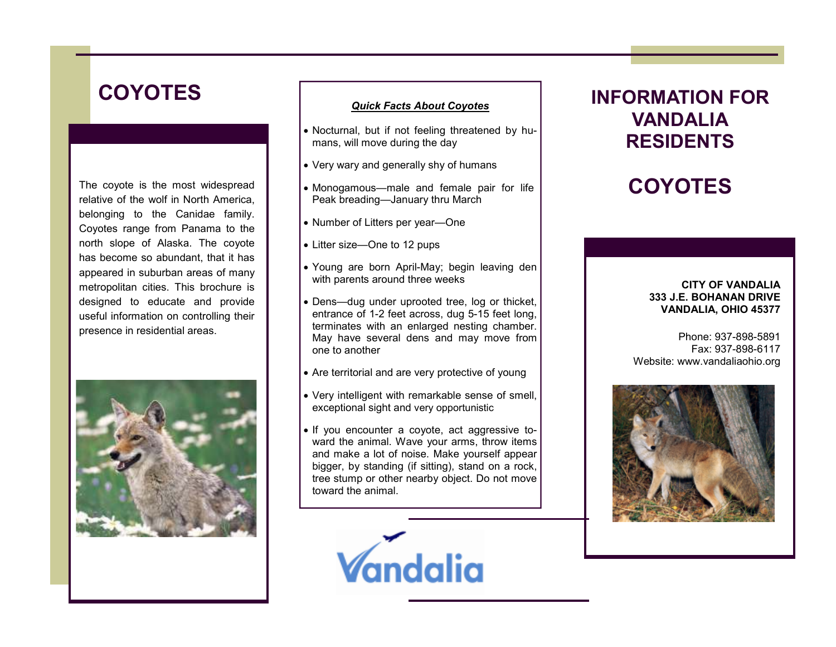# **COYOTES**

The coyote is the most widespread relative of the wolf in North America, belonging to the Canidae family. Coyotes range from Panama to the north slope of Alaska. The coyote has become so abundant, that it has appeared in suburban areas of many metropolitan cities. This brochure is designed to educate and provide useful information on controlling their presence in residential areas.



### Quick Facts About Coyotes

- Nocturnal, but if not feeling threatened by humans, will move during the day
- Very wary and generally shy of humans
- Monogamous—male and female pair for life Peak breading—January thru March
- Number of Litters per year—One
- Litter size—One to 12 pups
- Young are born April-May; begin leaving den with parents around three weeks
- Dens—dug under uprooted tree, log or thicket, entrance of 1-2 feet across, dug 5-15 feet long, terminates with an enlarged nesting chamber. May have several dens and may move from one to another
- Are territorial and are very protective of young
- Very intelligent with remarkable sense of smell, exceptional sight and very opportunistic
- If you encounter a coyote, act aggressive toward the animal. Wave your arms, throw items and make a lot of noise. Make yourself appear bigger, by standing (if sitting), stand on a rock, tree stump or other nearby object. Do not move toward the animal.



## INFORMATION FOR VANDALIA RESIDENTS

# **COYOTES**

### CITY OF VANDALIA 333 J.E. BOHANAN DRIVE VANDALIA, OHIO 45377

Phone: 937-898-5891 Fax: 937-898-6117 Website: www.vandaliaohio.org